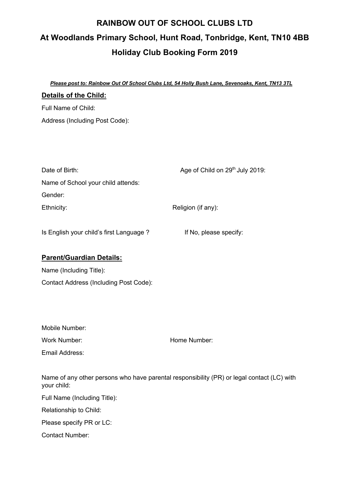## **RAINBOW OUT OF SCHOOL CLUBS LTD At Woodlands Primary School, Hunt Road, Tonbridge, Kent, TN10 4BB Holiday Club Booking Form 2019**

*Please post to: Rainbow Out Of School Clubs Ltd, 54 Holly Bush Lane, Sevenoaks, Kent, TN13 3TL* **Details of the Child:** Full Name of Child: Address (Including Post Code):

| Date of Birth:                          | Age of Child on 29th July 2019: |
|-----------------------------------------|---------------------------------|
| Name of School your child attends:      |                                 |
| Gender:                                 |                                 |
| Ethnicity:                              | Religion (if any):              |
|                                         |                                 |
| Is English your child's first Language? | If No, please specify:          |

## **Parent/Guardian Details:**

Name (Including Title): Contact Address (Including Post Code):

| Mobile Number: |              |
|----------------|--------------|
| Work Number:   | Home Number: |
| Email Address: |              |

Name of any other persons who have parental responsibility (PR) or legal contact (LC) with your child:

Full Name (Including Title):

Relationship to Child:

Please specify PR or LC:

Contact Number: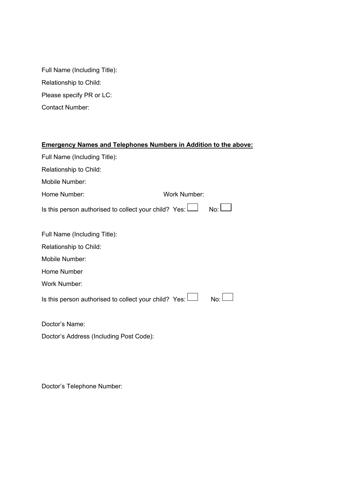Full Name (Including Title): Relationship to Child: Please specify PR or LC: Contact Number:

| <b>Emergency Names and Telephones Numbers in Addition to the above:</b> |              |
|-------------------------------------------------------------------------|--------------|
| Full Name (Including Title):                                            |              |
| Relationship to Child:                                                  |              |
| Mobile Number:                                                          |              |
| Home Number:                                                            | Work Number: |
| Is this person authorised to collect your child? Yes: $\Box$            | No:          |
| Full Name (Including Title):                                            |              |
| Relationship to Child:                                                  |              |
| Mobile Number:                                                          |              |
| Home Number                                                             |              |
| <b>Work Number:</b>                                                     |              |
| Is this person authorised to collect your child? Yes:                   | No:          |
| Doctor's Name:                                                          |              |

Doctor's Address (Including Post Code):

Doctor's Telephone Number: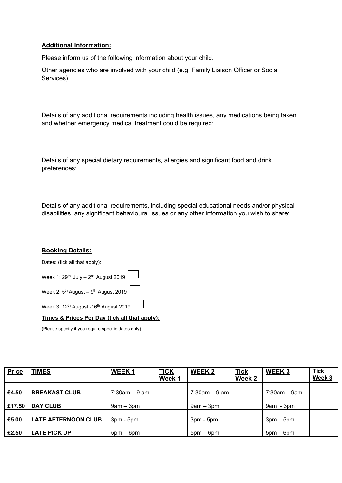## **Additional Information:**

Please inform us of the following information about your child.

Other agencies who are involved with your child (e.g. Family Liaison Officer or Social Services)

Details of any additional requirements including health issues, any medications being taken and whether emergency medical treatment could be required:

Details of any special dietary requirements, allergies and significant food and drink preferences:

Details of any additional requirements, including special educational needs and/or physical disabilities, any significant behavioural issues or any other information you wish to share:

## **Booking Details:**

Dates: (tick all that apply):

| Week 1: $29^{th}$ July - $2^{nd}$ August 2019                |  |
|--------------------------------------------------------------|--|
| Week 2: $5^{\text{th}}$ August – $9^{\text{th}}$ August 2019 |  |

Week 3:  $12^{th}$  August -16<sup>th</sup> August 2019

### **Times & Prices Per Day (tick all that apply):**

(Please specify if you require specific dates only)

| <b>Price</b> | <b>TIMES</b>               | <b>WEEK1</b>    | <b>TICK</b><br>Week 1 | <b>WEEK2</b>      | <b>Tick</b><br>Week 2 | WEEK <sub>3</sub> | <b>Tick</b><br>Week 3 |
|--------------|----------------------------|-----------------|-----------------------|-------------------|-----------------------|-------------------|-----------------------|
| £4.50        | <b>BREAKAST CLUB</b>       | $7:30am - 9 am$ |                       | $7.30$ am $-9$ am |                       | 7:30am – 9am      |                       |
| £17.50       | <b>DAY CLUB</b>            | $9am - 3pm$     |                       | $9am - 3pm$       |                       | $9am - 3pm$       |                       |
| £5.00        | <b>LATE AFTERNOON CLUB</b> | $3pm - 5pm$     |                       | $3pm - 5pm$       |                       | $3pm-5pm$         |                       |
| £2.50        | <b>LATE PICK UP</b>        | $5pm - 6pm$     |                       | $5$ pm $-6$ pm    |                       | $5pm - 6pm$       |                       |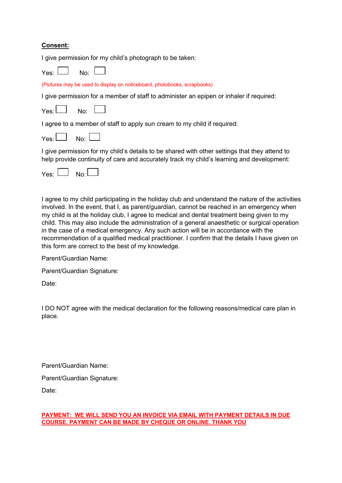## **Consent:**

I give permission for my child's photograph to be taken:

 $Yes: \Box$  No:  $\Box$ 

(Pictures may be used to display on noticeboard, photobooks, scrapbooks)

I give permission for a member of staff to administer an epipen or inhaler if required:

|  | Yes: |  | No: |  |
|--|------|--|-----|--|
|--|------|--|-----|--|

I agree to a member of staff to apply sun cream to my child if required:

| Yes: | No∙ |  |
|------|-----|--|
|      |     |  |

I give permission for my child's details to be shared with other settings that they attend to help provide continuity of care and accurately track my child's learning and development:

|  | Yes' |  | \l∩' |  |
|--|------|--|------|--|
|--|------|--|------|--|

I agree to my child participating in the holiday club and understand the nature of the activities involved. In the event, that I, as parent/guardian, cannot be reached in an emergency when my child is at the holiday club, I agree to medical and dental treatment being given to my child. This may also include the administration of a general anaesthetic or surgical operation in the case of a medical emergency. Any such action will be in accordance with the recommendation of a qualified medical practitioner. I confirm that the details I have given on this form are correct to the best of my knowledge.

Parent/Guardian Name:

Parent/Guardian Signature:

Date:

I DO NOT agree with the medical declaration for the following reasons/medical care plan in place.

Parent/Guardian Name:

Parent/Guardian Signature:

Date:

#### **PAYMENT: WE WILL SEND YOU AN INVOICE VIA EMAIL WITH PAYMENT DETAILS IN DUE COURSE. PAYMENT CAN BE MADE BY CHEQUE OR ONLINE. THANK YOU**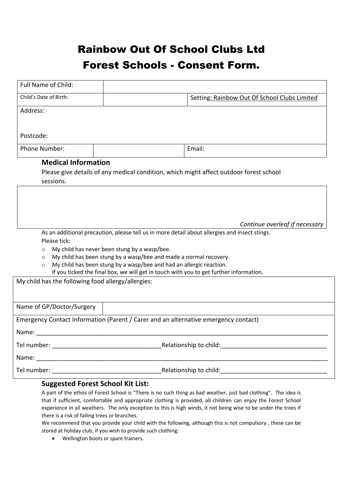# Rainbow Out Of School Clubs Ltd Forest Schools - Consent Form.

| Name:                                              |                                                                                                                                                                                          |  |  |
|----------------------------------------------------|------------------------------------------------------------------------------------------------------------------------------------------------------------------------------------------|--|--|
|                                                    | Emergency Contact Information (Parent / Carer and an alternative emergency contact)                                                                                                      |  |  |
| Name of GP/Doctor/Surgery                          |                                                                                                                                                                                          |  |  |
| My child has the following food allergy/allergies: | If you ticked the final box, we will get in touch with you to get further information.                                                                                                   |  |  |
| $\circ$<br>$\circ$<br>$\circ$                      | My child has never been stung by a wasp/bee.<br>My child has been stung by a wasp/bee and made a normal recovery.<br>My child has been stung by a wasp/bee and had an allergic reaction. |  |  |
| Please tick:                                       |                                                                                                                                                                                          |  |  |
|                                                    | Continue overleaf if necessary<br>As an additional precaution, please tell us in more detail about allergies and insect stings.                                                          |  |  |
|                                                    |                                                                                                                                                                                          |  |  |
| sessions.                                          |                                                                                                                                                                                          |  |  |
|                                                    | Please give details of any medical condition, which might affect outdoor forest school                                                                                                   |  |  |
| <b>Medical Information</b>                         |                                                                                                                                                                                          |  |  |
| Phone Number:                                      | Email:                                                                                                                                                                                   |  |  |
| Postcode:                                          |                                                                                                                                                                                          |  |  |
|                                                    |                                                                                                                                                                                          |  |  |
| Address:                                           | Child's Date of Birth:<br>Setting: Rainbow Out Of School Clubs Limited                                                                                                                   |  |  |
|                                                    |                                                                                                                                                                                          |  |  |

experience in all weathers. The only exception to this is high winds, it not being wise to be under the trees if there is a risk of falling trees or branches.

We recommend that you provide your child with the following, although this is not compulsory , these can be stored at holiday club, if you wish to provide such clothing:

• Wellington boots or spare trainers.